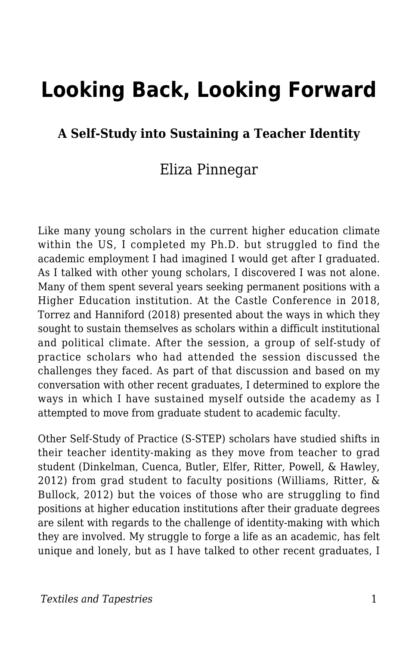# **Looking Back, Looking Forward**

#### **A Self-Study into Sustaining a Teacher Identity**

### Eliza Pinnegar

Like many young scholars in the current higher education climate within the US, I completed my Ph.D. but struggled to find the academic employment I had imagined I would get after I graduated. As I talked with other young scholars, I discovered I was not alone. Many of them spent several years seeking permanent positions with a Higher Education institution. At the Castle Conference in 2018, Torrez and Hanniford (2018) presented about the ways in which they sought to sustain themselves as scholars within a difficult institutional and political climate. After the session, a group of self-study of practice scholars who had attended the session discussed the challenges they faced. As part of that discussion and based on my conversation with other recent graduates, I determined to explore the ways in which I have sustained myself outside the academy as I attempted to move from graduate student to academic faculty.

Other Self-Study of Practice (S-STEP) scholars have studied shifts in their teacher identity-making as they move from teacher to grad student (Dinkelman, Cuenca, Butler, Elfer, Ritter, Powell, & Hawley, 2012) from grad student to faculty positions (Williams, Ritter, & Bullock, 2012) but the voices of those who are struggling to find positions at higher education institutions after their graduate degrees are silent with regards to the challenge of identity-making with which they are involved. My struggle to forge a life as an academic, has felt unique and lonely, but as I have talked to other recent graduates, I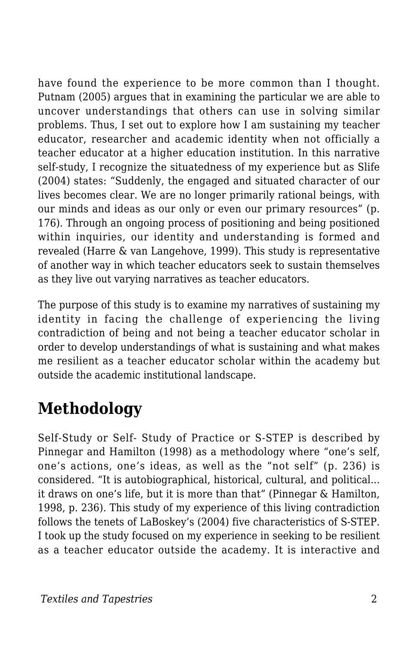have found the experience to be more common than I thought. Putnam (2005) argues that in examining the particular we are able to uncover understandings that others can use in solving similar problems. Thus, I set out to explore how I am sustaining my teacher educator, researcher and academic identity when not officially a teacher educator at a higher education institution. In this narrative self-study, I recognize the situatedness of my experience but as Slife (2004) states: "Suddenly, the engaged and situated character of our lives becomes clear. We are no longer primarily rational beings, with our minds and ideas as our only or even our primary resources" (p. 176). Through an ongoing process of positioning and being positioned within inquiries, our identity and understanding is formed and revealed (Harre & van Langehove, 1999). This study is representative of another way in which teacher educators seek to sustain themselves as they live out varying narratives as teacher educators.

The purpose of this study is to examine my narratives of sustaining my identity in facing the challenge of experiencing the living contradiction of being and not being a teacher educator scholar in order to develop understandings of what is sustaining and what makes me resilient as a teacher educator scholar within the academy but outside the academic institutional landscape.

## **Methodology**

Self-Study or Self- Study of Practice or S-STEP is described by Pinnegar and Hamilton (1998) as a methodology where "one's self, one's actions, one's ideas, as well as the "not self" (p. 236) is considered. "It is autobiographical, historical, cultural, and political... it draws on one's life, but it is more than that" (Pinnegar & Hamilton, 1998, p. 236). This study of my experience of this living contradiction follows the tenets of LaBoskey's (2004) five characteristics of S-STEP. I took up the study focused on my experience in seeking to be resilient as a teacher educator outside the academy. It is interactive and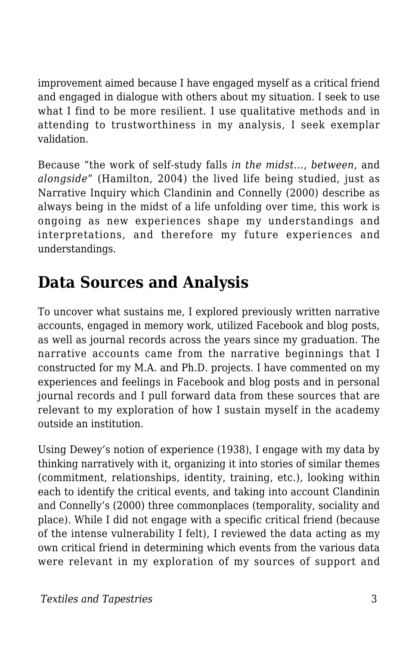improvement aimed because I have engaged myself as a critical friend and engaged in dialogue with others about my situation. I seek to use what I find to be more resilient. I use qualitative methods and in attending to trustworthiness in my analysis, I seek exemplar validation.

Because "the work of self-study falls *in the midst*..., *between*, and *alongside*" (Hamilton, 2004) the lived life being studied, just as Narrative Inquiry which Clandinin and Connelly (2000) describe as always being in the midst of a life unfolding over time, this work is ongoing as new experiences shape my understandings and interpretations, and therefore my future experiences and understandings.

## **Data Sources and Analysis**

To uncover what sustains me, I explored previously written narrative accounts, engaged in memory work, utilized Facebook and blog posts, as well as journal records across the years since my graduation. The narrative accounts came from the narrative beginnings that I constructed for my M.A. and Ph.D. projects. I have commented on my experiences and feelings in Facebook and blog posts and in personal journal records and I pull forward data from these sources that are relevant to my exploration of how I sustain myself in the academy outside an institution.

Using Dewey's notion of experience (1938), I engage with my data by thinking narratively with it, organizing it into stories of similar themes (commitment, relationships, identity, training, etc.), looking within each to identify the critical events, and taking into account Clandinin and Connelly's (2000) three commonplaces (temporality, sociality and place). While I did not engage with a specific critical friend (because of the intense vulnerability I felt), I reviewed the data acting as my own critical friend in determining which events from the various data were relevant in my exploration of my sources of support and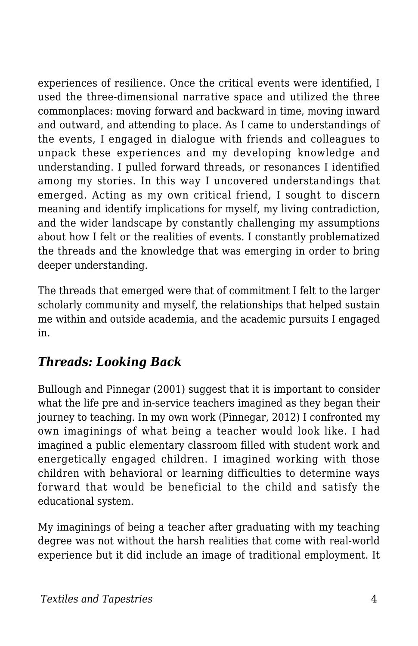experiences of resilience. Once the critical events were identified, I used the three-dimensional narrative space and utilized the three commonplaces: moving forward and backward in time, moving inward and outward, and attending to place. As I came to understandings of the events, I engaged in dialogue with friends and colleagues to unpack these experiences and my developing knowledge and understanding. I pulled forward threads, or resonances I identified among my stories. In this way I uncovered understandings that emerged. Acting as my own critical friend, I sought to discern meaning and identify implications for myself, my living contradiction, and the wider landscape by constantly challenging my assumptions about how I felt or the realities of events. I constantly problematized the threads and the knowledge that was emerging in order to bring deeper understanding.

The threads that emerged were that of commitment I felt to the larger scholarly community and myself, the relationships that helped sustain me within and outside academia, and the academic pursuits I engaged in.

### *Threads: Looking Back*

Bullough and Pinnegar (2001) suggest that it is important to consider what the life pre and in-service teachers imagined as they began their journey to teaching. In my own work (Pinnegar, 2012) I confronted my own imaginings of what being a teacher would look like. I had imagined a public elementary classroom filled with student work and energetically engaged children. I imagined working with those children with behavioral or learning difficulties to determine ways forward that would be beneficial to the child and satisfy the educational system.

My imaginings of being a teacher after graduating with my teaching degree was not without the harsh realities that come with real-world experience but it did include an image of traditional employment. It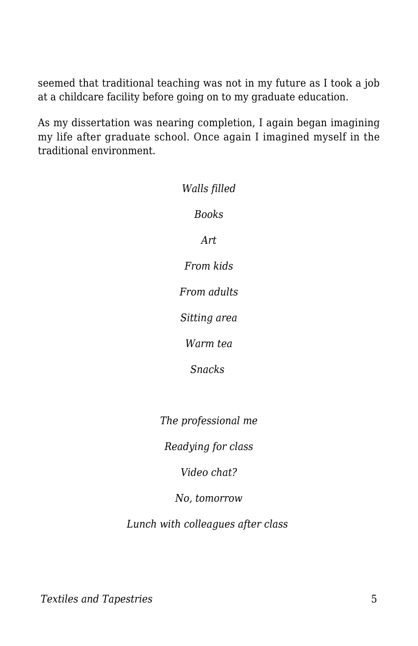seemed that traditional teaching was not in my future as I took a job at a childcare facility before going on to my graduate education.

As my dissertation was nearing completion, I again began imagining my life after graduate school. Once again I imagined myself in the traditional environment.

| Walls filled        |
|---------------------|
| <b>Books</b>        |
| Art.                |
| From kids           |
| From adults         |
| Sitting area        |
| Warm tea            |
| <b>Snacks</b>       |
|                     |
| The professional me |

*Readying for class*

*Video chat?*

#### *No, tomorrow*

*Lunch with colleagues after class*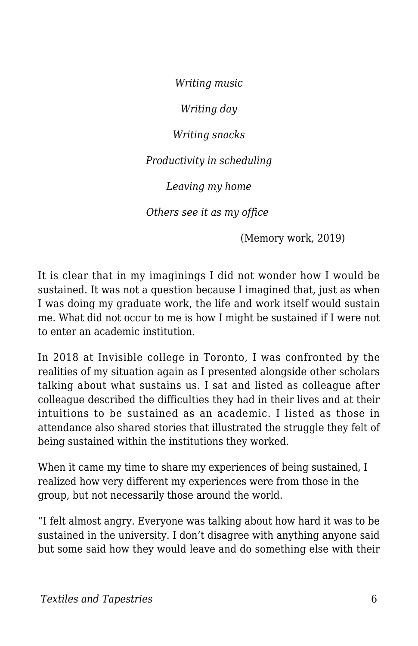*Writing music*

*Writing day*

*Writing snacks*

*Productivity in scheduling*

*Leaving my home*

*Others see it as my office* 

(Memory work, 2019)

It is clear that in my imaginings I did not wonder how I would be sustained. It was not a question because I imagined that, just as when I was doing my graduate work, the life and work itself would sustain me. What did not occur to me is how I might be sustained if I were not to enter an academic institution.

In 2018 at Invisible college in Toronto, I was confronted by the realities of my situation again as I presented alongside other scholars talking about what sustains us. I sat and listed as colleague after colleague described the difficulties they had in their lives and at their intuitions to be sustained as an academic. I listed as those in attendance also shared stories that illustrated the struggle they felt of being sustained within the institutions they worked.

When it came my time to share my experiences of being sustained, I realized how very different my experiences were from those in the group, but not necessarily those around the world.

"I felt almost angry. Everyone was talking about how hard it was to be sustained in the university. I don't disagree with anything anyone said but some said how they would leave and do something else with their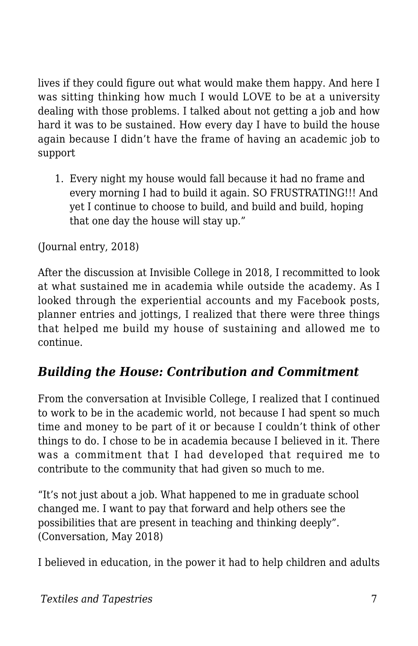lives if they could figure out what would make them happy. And here I was sitting thinking how much I would LOVE to be at a university dealing with those problems. I talked about not getting a job and how hard it was to be sustained. How every day I have to build the house again because I didn't have the frame of having an academic job to support

1. Every night my house would fall because it had no frame and every morning I had to build it again. SO FRUSTRATING!!! And yet I continue to choose to build, and build and build, hoping that one day the house will stay up."

(Journal entry, 2018)

After the discussion at Invisible College in 2018, I recommitted to look at what sustained me in academia while outside the academy. As I looked through the experiential accounts and my Facebook posts, planner entries and jottings, I realized that there were three things that helped me build my house of sustaining and allowed me to continue.

#### *Building the House: Contribution and Commitment*

From the conversation at Invisible College, I realized that I continued to work to be in the academic world, not because I had spent so much time and money to be part of it or because I couldn't think of other things to do. I chose to be in academia because I believed in it. There was a commitment that I had developed that required me to contribute to the community that had given so much to me.

"It's not just about a job. What happened to me in graduate school changed me. I want to pay that forward and help others see the possibilities that are present in teaching and thinking deeply". (Conversation, May 2018)

I believed in education, in the power it had to help children and adults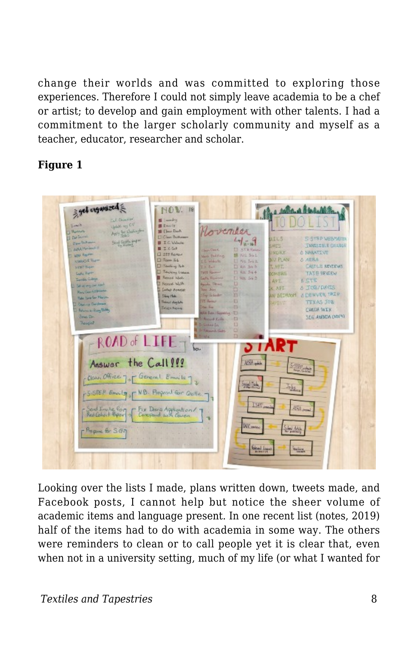change their worlds and was committed to exploring those experiences. Therefore I could not simply leave academia to be a chef or artist; to develop and gain employment with other talents. I had a commitment to the larger scholarly community and myself as a teacher, educator, researcher and scholar.

#### **Figure 1**



Looking over the lists I made, plans written down, tweets made, and Facebook posts, I cannot help but notice the sheer volume of academic items and language present. In one recent list (notes, 2019) half of the items had to do with academia in some way. The others were reminders to clean or to call people yet it is clear that, even when not in a university setting, much of my life (or what I wanted for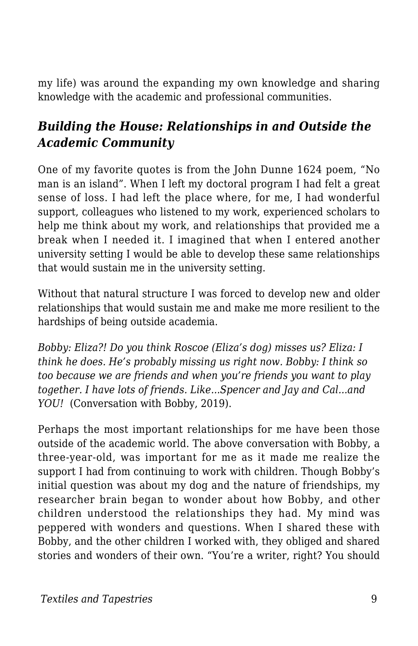my life) was around the expanding my own knowledge and sharing knowledge with the academic and professional communities.

### *Building the House: Relationships in and Outside the Academic Community*

One of my favorite quotes is from the John Dunne 1624 poem, "No man is an island". When I left my doctoral program I had felt a great sense of loss. I had left the place where, for me, I had wonderful support, colleagues who listened to my work, experienced scholars to help me think about my work, and relationships that provided me a break when I needed it. I imagined that when I entered another university setting I would be able to develop these same relationships that would sustain me in the university setting.

Without that natural structure I was forced to develop new and older relationships that would sustain me and make me more resilient to the hardships of being outside academia.

*Bobby: Eliza?! Do you think Roscoe (Eliza's dog) misses us? Eliza: I think he does. He's probably missing us right now. Bobby: I think so too because we are friends and when you're friends you want to play together. I have lots of friends. Like...Spencer and Jay and Cal...and YOU!* (Conversation with Bobby, 2019).

Perhaps the most important relationships for me have been those outside of the academic world. The above conversation with Bobby, a three-year-old, was important for me as it made me realize the support I had from continuing to work with children. Though Bobby's initial question was about my dog and the nature of friendships, my researcher brain began to wonder about how Bobby, and other children understood the relationships they had. My mind was peppered with wonders and questions. When I shared these with Bobby, and the other children I worked with, they obliged and shared stories and wonders of their own. "You're a writer, right? You should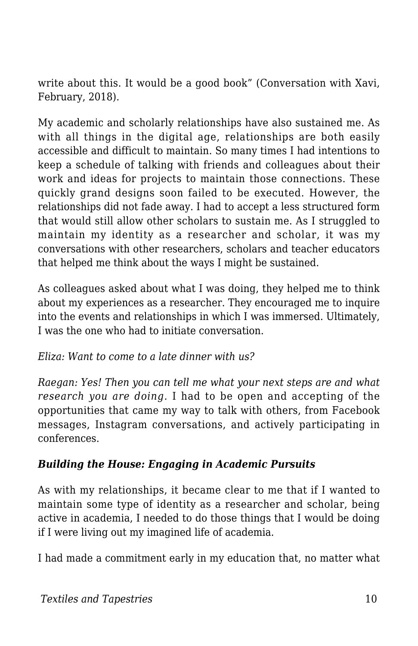write about this. It would be a good book" (Conversation with Xavi, February, 2018).

My academic and scholarly relationships have also sustained me. As with all things in the digital age, relationships are both easily accessible and difficult to maintain. So many times I had intentions to keep a schedule of talking with friends and colleagues about their work and ideas for projects to maintain those connections. These quickly grand designs soon failed to be executed. However, the relationships did not fade away. I had to accept a less structured form that would still allow other scholars to sustain me. As I struggled to maintain my identity as a researcher and scholar, it was my conversations with other researchers, scholars and teacher educators that helped me think about the ways I might be sustained.

As colleagues asked about what I was doing, they helped me to think about my experiences as a researcher. They encouraged me to inquire into the events and relationships in which I was immersed. Ultimately, I was the one who had to initiate conversation.

*Eliza: Want to come to a late dinner with us?* 

*Raegan: Yes! Then you can tell me what your next steps are and what research you are doing.* I had to be open and accepting of the opportunities that came my way to talk with others, from Facebook messages, Instagram conversations, and actively participating in conferences.

#### *Building the House: Engaging in Academic Pursuits*

As with my relationships, it became clear to me that if I wanted to maintain some type of identity as a researcher and scholar, being active in academia, I needed to do those things that I would be doing if I were living out my imagined life of academia.

I had made a commitment early in my education that, no matter what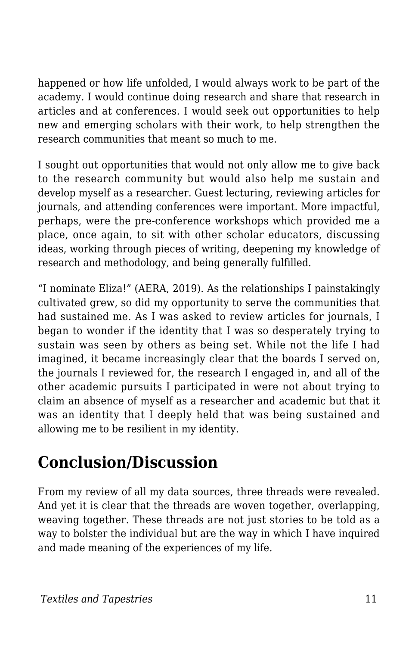happened or how life unfolded, I would always work to be part of the academy. I would continue doing research and share that research in articles and at conferences. I would seek out opportunities to help new and emerging scholars with their work, to help strengthen the research communities that meant so much to me.

I sought out opportunities that would not only allow me to give back to the research community but would also help me sustain and develop myself as a researcher. Guest lecturing, reviewing articles for journals, and attending conferences were important. More impactful, perhaps, were the pre-conference workshops which provided me a place, once again, to sit with other scholar educators, discussing ideas, working through pieces of writing, deepening my knowledge of research and methodology, and being generally fulfilled.

"I nominate Eliza!" (AERA, 2019). As the relationships I painstakingly cultivated grew, so did my opportunity to serve the communities that had sustained me. As I was asked to review articles for journals, I began to wonder if the identity that I was so desperately trying to sustain was seen by others as being set. While not the life I had imagined, it became increasingly clear that the boards I served on, the journals I reviewed for, the research I engaged in, and all of the other academic pursuits I participated in were not about trying to claim an absence of myself as a researcher and academic but that it was an identity that I deeply held that was being sustained and allowing me to be resilient in my identity.

## **Conclusion/Discussion**

From my review of all my data sources, three threads were revealed. And yet it is clear that the threads are woven together, overlapping, weaving together. These threads are not just stories to be told as a way to bolster the individual but are the way in which I have inquired and made meaning of the experiences of my life.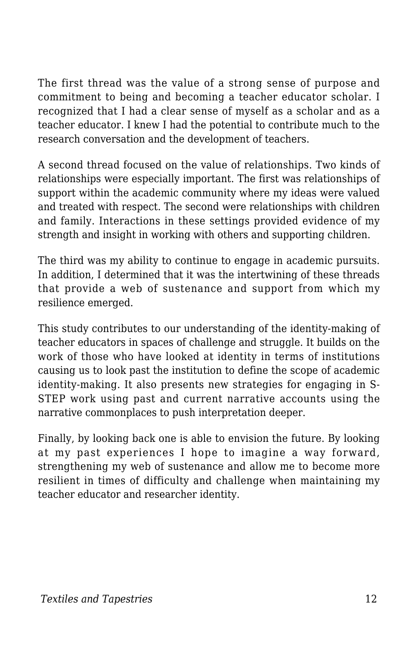The first thread was the value of a strong sense of purpose and commitment to being and becoming a teacher educator scholar. I recognized that I had a clear sense of myself as a scholar and as a teacher educator. I knew I had the potential to contribute much to the research conversation and the development of teachers.

A second thread focused on the value of relationships. Two kinds of relationships were especially important. The first was relationships of support within the academic community where my ideas were valued and treated with respect. The second were relationships with children and family. Interactions in these settings provided evidence of my strength and insight in working with others and supporting children.

The third was my ability to continue to engage in academic pursuits. In addition, I determined that it was the intertwining of these threads that provide a web of sustenance and support from which my resilience emerged.

This study contributes to our understanding of the identity-making of teacher educators in spaces of challenge and struggle. It builds on the work of those who have looked at identity in terms of institutions causing us to look past the institution to define the scope of academic identity-making. It also presents new strategies for engaging in S-STEP work using past and current narrative accounts using the narrative commonplaces to push interpretation deeper.

Finally, by looking back one is able to envision the future. By looking at my past experiences I hope to imagine a way forward, strengthening my web of sustenance and allow me to become more resilient in times of difficulty and challenge when maintaining my teacher educator and researcher identity.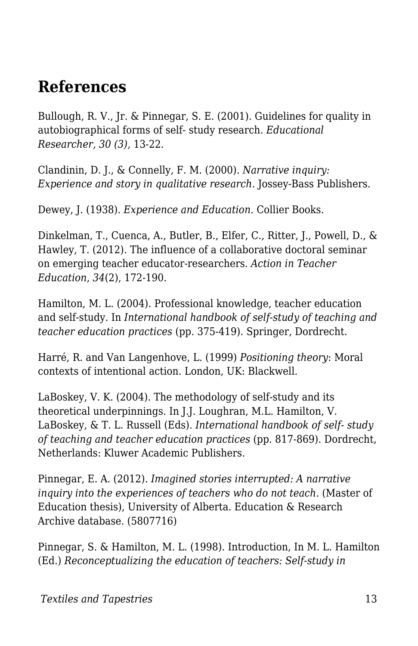### **References**

Bullough, R. V., Jr. & Pinnegar, S. E. (2001). Guidelines for quality in autobiographical forms of self- study research. *Educational Researcher, 30 (3),* 13-22.

Clandinin, D. J., & Connelly, F. M. (2000). *Narrative inquiry: Experience and story in qualitative research.* Jossey-Bass Publishers.

Dewey, J. (1938). *Experience and Education*. Collier Books.

Dinkelman, T., Cuenca, A., Butler, B., Elfer, C., Ritter, J., Powell, D., & Hawley, T. (2012). The influence of a collaborative doctoral seminar on emerging teacher educator-researchers. *Action in Teacher Education*, *34*(2), 172-190.

Hamilton, M. L. (2004). Professional knowledge, teacher education and self-study. In *International handbook of self-study of teaching and teacher education practices* (pp. 375-419). Springer, Dordrecht.

Harré, R. and Van Langenhove, L. (1999) *Positioning theory*: Moral contexts of intentional action. London, UK: Blackwell.

LaBoskey, V. K. (2004). The methodology of self-study and its theoretical underpinnings. In J.J. Loughran, M.L. Hamilton, V. LaBoskey, & T. L. Russell (Eds). *International handbook of self- study of teaching and teacher education practices* (pp. 817-869). Dordrecht, Netherlands: Kluwer Academic Publishers.

Pinnegar, E. A. (2012). *Imagined stories interrupted: A narrative* inquiry into the experiences of teachers who do not teach. (Master of Education thesis), University of Alberta. Education & Research Archive database. (5807716)

Pinnegar, S. & Hamilton, M. L. (1998). Introduction, In M. L. Hamilton (Ed.) *Reconceptualizing the education of teachers: Self-study in*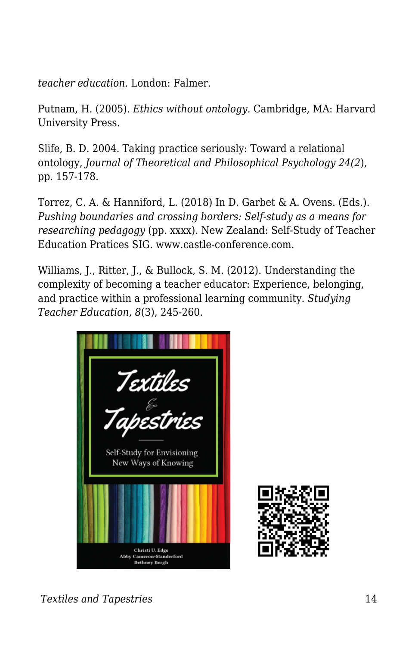*teacher education.* London: Falmer.

Putnam, H. (2005). *Ethics without ontology.* Cambridge, MA: Harvard University Press.

Slife, B. D. 2004. Taking practice seriously: Toward a relational ontology, *Journal of Theoretical and Philosophical Psychology 24(2*), pp. 157-178.

Torrez, C. A. & Hanniford, L. (2018) In D. Garbet & A. Ovens. (Eds.). *Pushing boundaries and crossing borders: Self-study as a means for researching pedagogy* (pp. xxxx). New Zealand: Self-Study of Teacher Education Pratices SIG. www.castle-conference.com.

Williams, J., Ritter, J., & Bullock, S. M. (2012). Understanding the complexity of becoming a teacher educator: Experience, belonging, and practice within a professional learning community. *Studying Teacher Education*, *8*(3), 245-260.